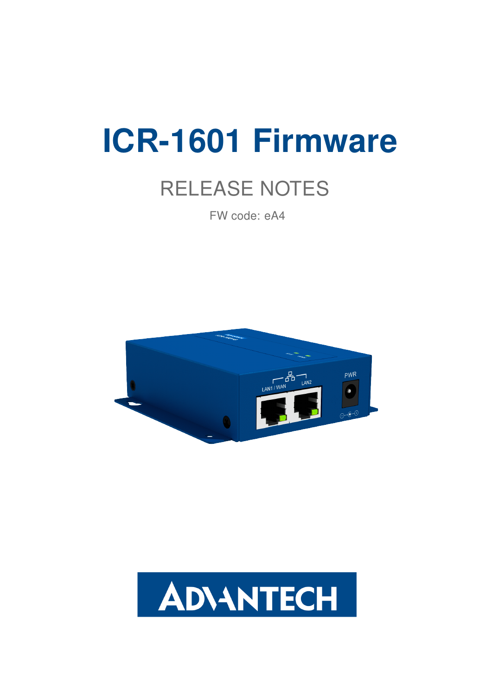# ICR-1601 Firmware

# RELEASE NOTES

FW code: eA4



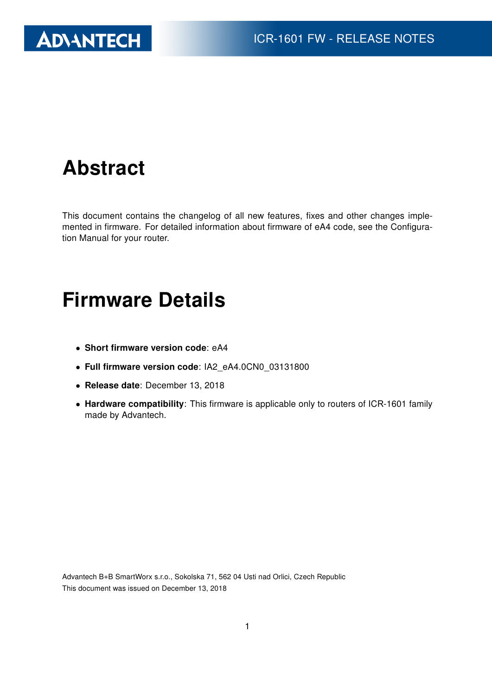

### Abstract

This document contains the changelog of all new features, fixes and other changes implemented in firmware. For detailed information about firmware of eA4 code, see the Configuration Manual for your router.

#### Firmware Details

- Short firmware version code: eA4
- Full firmware version code: IA2\_eA4.0CN0\_03131800
- Release date: December 13, 2018
- Hardware compatibility: This firmware is applicable only to routers of ICR-1601 family made by Advantech.

Advantech B+B SmartWorx s.r.o., Sokolska 71, 562 04 Usti nad Orlici, Czech Republic This document was issued on December 13, 2018